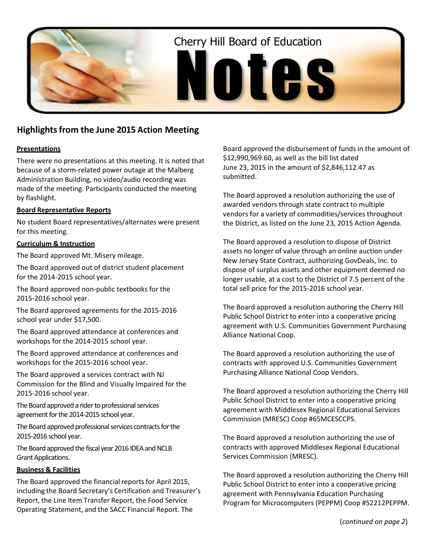

# **Highlightsfrom the June 2015 Action Meeting**

### **Presentations**

There were no presentations at this meeting. It is noted that because of a storm-related power outage at the Malberg Administration Building, no video/audio recording was made of the meeting. Participants conducted the meeting by flashlight.

## **Board Representative Reports**

No student Board representatives/alternates were present for this meeting.

### **Curriculum & Instruction**

The Board approved Mt. Misery mileage.

The Board approved out of district student placement for the 2014-2015 school year.

The Board approved non-public textbooks for the 2015-2016 school year.

The Board approved agreements for the 2015-2016 school year under \$17,500.

The Board approved attendance at conferences and workshops for the 2014-2015 school year.

The Board approved attendance at conferences and workshops for the 2015-2016 school year.

The Board approved a services contract with NJ Commission for the Blind and Visually Impaired for the 2015-2016 school year.

The Board approved a rider to professional services agreement for the 2014-2015 school year.

The Board approved professional services contracts for the 2015-2016 school year.

The Board approved the fiscal year 2016 IDEA and NCLB Grant Applications.

### **Business & Facilities**

The Board approved the financial reports for April 2015, including the Board Secretary's Certification and Treasurer's Report, the Line Item Transfer Report, the Food Service Operating Statement, and the SACC Financial Report. The

Board approved the disbursement of funds in the amount of \$12,990,969.60, as well as the bill list dated June 23, 2015 in the amount of \$2,846,112.47 as submitted.

The Board approved a resolution authorizing the use of awarded vendors through state contract to multiple vendors for a variety of commodities/services throughout the District, as listed on the June 23, 2015 Action Agenda.

The Board approved a resolution to dispose of District assets no longer of value through an online auction under New Jersey State Contract, authorizing GovDeals, Inc. to dispose of surplus assets and other equipment deemed no longer usable, at a cost to the District of 7.5 percent of the total sell price for the 2015-2016 school year.

The Board approved a resolution authoring the Cherry Hill Public School District to enter into a cooperative pricing agreement with U.S. Communities Government Purchasing Alliance National Coop.

The Board approved a resolution authorizing the use of contracts with approved U.S. Communities Government Purchasing Alliance National Coop Vendors.

The Board approved a resolution authorizing the Cherry Hill Public School District to enter into a cooperative pricing agreement with Middlesex Regional Educational Services Commission (MRESC) Coop #65MCESCCPS.

The Board approved a resolution authorizing the use of contracts with approved Middlesex Regional Educational Services Commission (MRESC).

The Board approved a resolution authorizing the Cherry Hill Public School District to enter into a cooperative pricing agreement with Pennsylvania Education Purchasing Program for Microcomputers (PEPPM) Coop #52212PEPPM.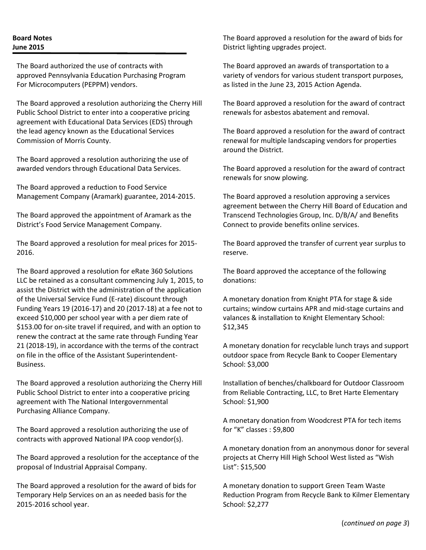## **Board Notes June 2015**

The Board authorized the use of contracts with approved Pennsylvania Education Purchasing Program For Microcomputers (PEPPM) vendors.

The Board approved a resolution authorizing the Cherry Hill Public School District to enter into a cooperative pricing agreement with Educational Data Services (EDS) through the lead agency known as the Educational Services Commission of Morris County.

The Board approved a resolution authorizing the use of awarded vendors through Educational Data Services.

The Board approved a reduction to Food Service Management Company (Aramark) guarantee, 2014-2015.

The Board approved the appointment of Aramark as the District's Food Service Management Company.

The Board approved a resolution for meal prices for 2015- 2016.

The Board approved a resolution for eRate 360 Solutions LLC be retained as a consultant commencing July 1, 2015, to assist the District with the administration of the application of the Universal Service Fund (E-rate) discount through Funding Years 19 (2016-17) and 20 (2017-18) at a fee not to exceed \$10,000 per school year with a per diem rate of \$153.00 for on-site travel if required, and with an option to renew the contract at the same rate through Funding Year 21 (2018-19), in accordance with the terms of the contract on file in the office of the Assistant Superintendent-Business.

The Board approved a resolution authorizing the Cherry Hill Public School District to enter into a cooperative pricing agreement with The National Intergovernmental Purchasing Alliance Company.

The Board approved a resolution authorizing the use of contracts with approved National IPA coop vendor(s).

The Board approved a resolution for the acceptance of the proposal of Industrial Appraisal Company.

The Board approved a resolution for the award of bids for Temporary Help Services on an as needed basis for the 2015-2016 school year.

The Board approved a resolution for the award of bids for District lighting upgrades project.

The Board approved an awards of transportation to a variety of vendors for various student transport purposes, as listed in the June 23, 2015 Action Agenda.

The Board approved a resolution for the award of contract renewals for asbestos abatement and removal.

The Board approved a resolution for the award of contract renewal for multiple landscaping vendors for properties around the District.

The Board approved a resolution for the award of contract renewals for snow plowing.

The Board approved a resolution approving a services agreement between the Cherry Hill Board of Education and Transcend Technologies Group, Inc. D/B/A/ and Benefits Connect to provide benefits online services.

The Board approved the transfer of current year surplus to reserve.

The Board approved the acceptance of the following donations:

A monetary donation from Knight PTA for stage & side curtains; window curtains APR and mid-stage curtains and valances & installation to Knight Elementary School: \$12,345

A monetary donation for recyclable lunch trays and support outdoor space from Recycle Bank to Cooper Elementary School: \$3,000

Installation of benches/chalkboard for Outdoor Classroom from Reliable Contracting, LLC, to Bret Harte Elementary School: \$1,900

A monetary donation from Woodcrest PTA for tech items for "K" classes : \$9,800

A monetary donation from an anonymous donor for several projects at Cherry Hill High School West listed as "Wish List": \$15,500

A monetary donation to support Green Team Waste Reduction Program from Recycle Bank to Kilmer Elementary School: \$2,277